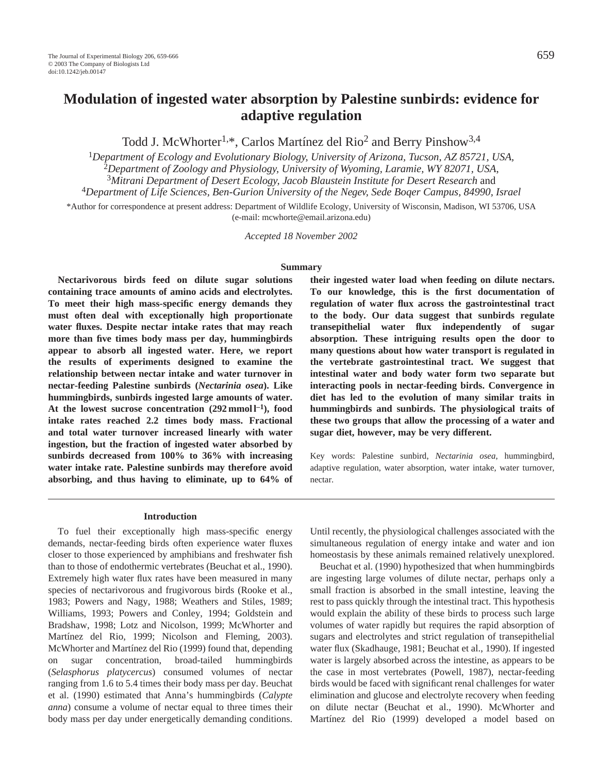# **Modulation of ingested water absorption by Palestine sunbirds: evidence for adaptive regulation**

Todd J. McWhorter<sup>1,\*</sup>, Carlos Martínez del Rio<sup>2</sup> and Berry Pinshow<sup>3,4</sup>

<sup>1</sup>*Department of Ecology and Evolutionary Biology, University of Arizona, Tucson, AZ 85721, USA,* <sup>2</sup>*Department of Zoology and Physiology, University of Wyoming, Laramie, WY 82071, USA*, <sup>3</sup>*Mitrani Department of Desert Ecology, Jacob Blaustein Institute for Desert Research* and

<sup>4</sup>*Department of Life Sciences, Ben-Gurion University of the Negev, Sede Boqer Campus, 84990, Israel* \*Author for correspondence at present address: Department of Wildlife Ecology, University of Wisconsin, Madison, WI 53706, USA

(e-mail: mcwhorte@email.arizona.edu)

*Accepted 18 November 2002*

#### **Summary**

**Nectarivorous birds feed on dilute sugar solutions containing trace amounts of amino acids and electrolytes. To meet their high mass-specific energy demands they must often deal with exceptionally high proportionate water fluxes. Despite nectar intake rates that may reach more than five times body mass per day, hummingbirds appear to absorb all ingested water. Here, we report the results of experiments designed to examine the relationship between nectar intake and water turnover in nectar-feeding Palestine sunbirds (***Nectarinia osea***). Like hummingbirds, sunbirds ingested large amounts of water. At the lowest sucrose concentration (292 mmol l–1), food intake rates reached 2.2 times body mass. Fractional and total water turnover increased linearly with water ingestion, but the fraction of ingested water absorbed by sunbirds decreased from 100% to 36% with increasing water intake rate. Palestine sunbirds may therefore avoid absorbing, and thus having to eliminate, up to 64% of**

**their ingested water load when feeding on dilute nectars. To our knowledge, this is the first documentation of regulation of water flux across the gastrointestinal tract to the body. Our data suggest that sunbirds regulate transepithelial water flux independently of sugar absorption. These intriguing results open the door to many questions about how water transport is regulated in the vertebrate gastrointestinal tract. We suggest that intestinal water and body water form two separate but interacting pools in nectar-feeding birds. Convergence in diet has led to the evolution of many similar traits in hummingbirds and sunbirds. The physiological traits of these two groups that allow the processing of a water and sugar diet, however, may be very different.**

Key words: Palestine sunbird, *Nectarinia osea*, hummingbird, adaptive regulation, water absorption, water intake, water turnover, nectar.

#### **Introduction**

To fuel their exceptionally high mass-specific energy demands, nectar-feeding birds often experience water fluxes closer to those experienced by amphibians and freshwater fish than to those of endothermic vertebrates (Beuchat et al., 1990). Extremely high water flux rates have been measured in many species of nectarivorous and frugivorous birds (Rooke et al., 1983; Powers and Nagy, 1988; Weathers and Stiles, 1989; Williams, 1993; Powers and Conley, 1994; Goldstein and Bradshaw, 1998; Lotz and Nicolson, 1999; McWhorter and Martínez del Rio, 1999; Nicolson and Fleming, 2003). McWhorter and Martínez del Rio (1999) found that, depending on sugar concentration, broad-tailed hummingbirds (*Selasphorus platycercus*) consumed volumes of nectar ranging from 1.6 to 5.4 times their body mass per day. Beuchat et al. (1990) estimated that Anna's hummingbirds (*Calypte anna*) consume a volume of nectar equal to three times their body mass per day under energetically demanding conditions.

Until recently, the physiological challenges associated with the simultaneous regulation of energy intake and water and ion homeostasis by these animals remained relatively unexplored.

Beuchat et al. (1990) hypothesized that when hummingbirds are ingesting large volumes of dilute nectar, perhaps only a small fraction is absorbed in the small intestine, leaving the rest to pass quickly through the intestinal tract. This hypothesis would explain the ability of these birds to process such large volumes of water rapidly but requires the rapid absorption of sugars and electrolytes and strict regulation of transepithelial water flux (Skadhauge, 1981; Beuchat et al., 1990). If ingested water is largely absorbed across the intestine, as appears to be the case in most vertebrates (Powell, 1987), nectar-feeding birds would be faced with significant renal challenges for water elimination and glucose and electrolyte recovery when feeding on dilute nectar (Beuchat et al., 1990). McWhorter and Martínez del Rio (1999) developed a model based on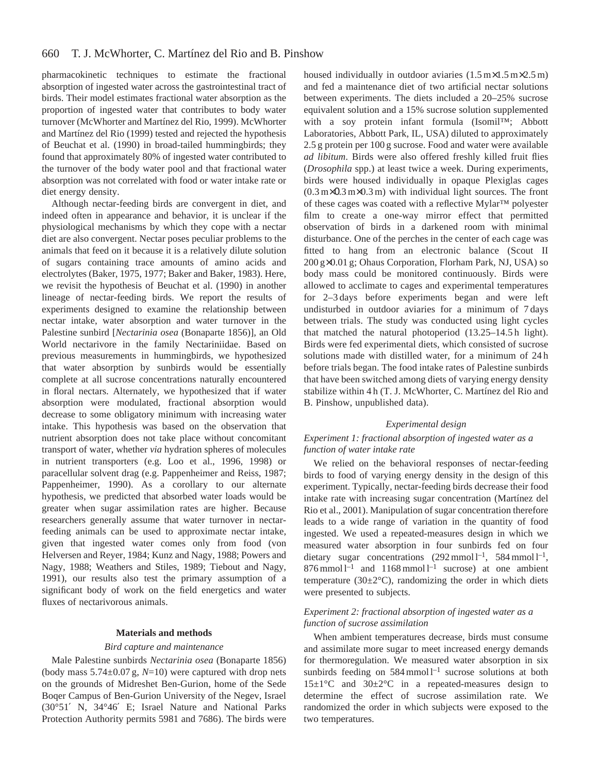pharmacokinetic techniques to estimate the fractional absorption of ingested water across the gastrointestinal tract of birds. Their model estimates fractional water absorption as the proportion of ingested water that contributes to body water turnover (McWhorter and Martínez del Rio, 1999). McWhorter and Martínez del Rio (1999) tested and rejected the hypothesis of Beuchat et al. (1990) in broad-tailed hummingbirds; they found that approximately 80% of ingested water contributed to the turnover of the body water pool and that fractional water absorption was not correlated with food or water intake rate or diet energy density.

Although nectar-feeding birds are convergent in diet, and indeed often in appearance and behavior, it is unclear if the physiological mechanisms by which they cope with a nectar diet are also convergent. Nectar poses peculiar problems to the animals that feed on it because it is a relatively dilute solution of sugars containing trace amounts of amino acids and electrolytes (Baker, 1975, 1977; Baker and Baker, 1983). Here, we revisit the hypothesis of Beuchat et al. (1990) in another lineage of nectar-feeding birds. We report the results of experiments designed to examine the relationship between nectar intake, water absorption and water turnover in the Palestine sunbird [*Nectarinia osea* (Bonaparte 1856)], an Old World nectarivore in the family Nectariniidae. Based on previous measurements in hummingbirds, we hypothesized that water absorption by sunbirds would be essentially complete at all sucrose concentrations naturally encountered in floral nectars. Alternately, we hypothesized that if water absorption were modulated, fractional absorption would decrease to some obligatory minimum with increasing water intake. This hypothesis was based on the observation that nutrient absorption does not take place without concomitant transport of water, whether *via* hydration spheres of molecules in nutrient transporters (e.g. Loo et al., 1996, 1998) or paracellular solvent drag (e.g. Pappenheimer and Reiss, 1987; Pappenheimer, 1990). As a corollary to our alternate hypothesis, we predicted that absorbed water loads would be greater when sugar assimilation rates are higher. Because researchers generally assume that water turnover in nectarfeeding animals can be used to approximate nectar intake, given that ingested water comes only from food (von Helversen and Reyer, 1984; Kunz and Nagy, 1988; Powers and Nagy, 1988; Weathers and Stiles, 1989; Tiebout and Nagy, 1991), our results also test the primary assumption of a significant body of work on the field energetics and water fluxes of nectarivorous animals.

### **Materials and methods**

### *Bird capture and maintenance*

Male Palestine sunbirds *Nectarinia osea* (Bonaparte 1856) (body mass 5.74±0.07 g, *N*=10) were captured with drop nets on the grounds of Midreshet Ben-Gurion, home of the Sede Boqer Campus of Ben-Gurion University of the Negev, Israel (30°51′ N, 34°46′ E; Israel Nature and National Parks Protection Authority permits 5981 and 7686). The birds were housed individually in outdoor aviaries  $(1.5 \text{ m} \times 1.5 \text{ m} \times 2.5 \text{ m})$ and fed a maintenance diet of two artificial nectar solutions between experiments. The diets included a 20–25% sucrose equivalent solution and a 15% sucrose solution supplemented with a soy protein infant formula (Isomil™; Abbott Laboratories, Abbott Park, IL, USA) diluted to approximately 2.5 g protein per 100 g sucrose. Food and water were available *ad libitum*. Birds were also offered freshly killed fruit flies (*Drosophila* spp.) at least twice a week. During experiments, birds were housed individually in opaque Plexiglas cages  $(0.3 \text{ m} \times 0.3 \text{ m} \times 0.3 \text{ m})$  with individual light sources. The front of these cages was coated with a reflective Mylar™ polyester film to create a one-way mirror effect that permitted observation of birds in a darkened room with minimal disturbance. One of the perches in the center of each cage was fitted to hang from an electronic balance (Scout II 200 g×0.01 g; Ohaus Corporation, Florham Park, NJ, USA) so body mass could be monitored continuously. Birds were allowed to acclimate to cages and experimental temperatures for 2–3 days before experiments began and were left undisturbed in outdoor aviaries for a minimum of 7 days between trials. The study was conducted using light cycles that matched the natural photoperiod (13.25–14.5 h light). Birds were fed experimental diets, which consisted of sucrose solutions made with distilled water, for a minimum of 24 h before trials began. The food intake rates of Palestine sunbirds that have been switched among diets of varying energy density stabilize within 4 h (T. J. McWhorter, C. Martínez del Rio and B. Pinshow, unpublished data).

## *Experimental design*

## *Experiment 1: fractional absorption of ingested water as a function of water intake rate*

We relied on the behavioral responses of nectar-feeding birds to food of varying energy density in the design of this experiment. Typically, nectar-feeding birds decrease their food intake rate with increasing sugar concentration (Martínez del Rio et al., 2001). Manipulation of sugar concentration therefore leads to a wide range of variation in the quantity of food ingested. We used a repeated-measures design in which we measured water absorption in four sunbirds fed on four dietary sugar concentrations  $(292 \text{ mmol l}^{-1}, 584 \text{ mmol l}^{-1},$  $876$  mmol l<sup>-1</sup> and 1168 mmol l<sup>-1</sup> sucrose) at one ambient temperature (30 $\pm$ 2 $\degree$ C), randomizing the order in which diets were presented to subjects.

# *Experiment 2: fractional absorption of ingested water as a function of sucrose assimilation*

When ambient temperatures decrease, birds must consume and assimilate more sugar to meet increased energy demands for thermoregulation. We measured water absorption in six sunbirds feeding on  $584$  mmol  $l^{-1}$  sucrose solutions at both  $15\pm1\degree$ C and  $30\pm2\degree$ C in a repeated-measures design to determine the effect of sucrose assimilation rate. We randomized the order in which subjects were exposed to the two temperatures.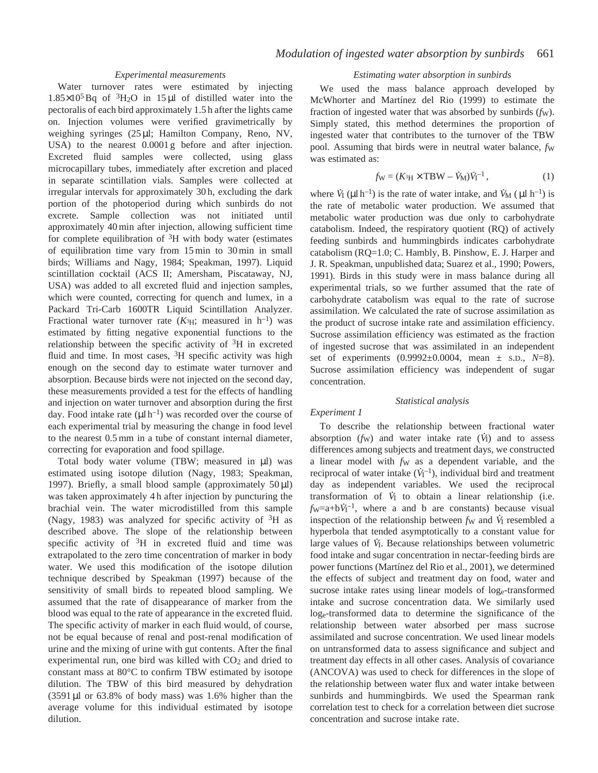## *Experimental measurements*

Water turnover rates were estimated by injecting  $1.85\times10^{5}$  Bq of  $^{3}$ H<sub>2</sub>O in 15 µl of distilled water into the pectoralis of each bird approximately 1.5 h after the lights came on. Injection volumes were verified gravimetrically by weighing syringes (25 µl; Hamilton Company, Reno, NV, USA) to the nearest 0.0001 g before and after injection. Excreted fluid samples were collected, using glass microcapillary tubes, immediately after excretion and placed in separate scintillation vials. Samples were collected at irregular intervals for approximately 30 h, excluding the dark portion of the photoperiod during which sunbirds do not excrete. Sample collection was not initiated until approximately 40 min after injection, allowing sufficient time for complete equilibration of  ${}^{3}H$  with body water (estimates of equilibration time vary from 15 min to 30 min in small birds; Williams and Nagy, 1984; Speakman, 1997). Liquid scintillation cocktail (ACS II; Amersham, Piscataway, NJ, USA) was added to all excreted fluid and injection samples, which were counted, correcting for quench and lumex, in a Packard Tri-Carb 1600TR Liquid Scintillation Analyzer. Fractional water turnover rate  $(K<sup>3</sup>H)$ ; measured in h<sup>-1</sup>) was estimated by fitting negative exponential functions to the relationship between the specific activity of  ${}^{3}$ H in excreted fluid and time. In most cases,  ${}^{3}H$  specific activity was high enough on the second day to estimate water turnover and absorption. Because birds were not injected on the second day, these measurements provided a test for the effects of handling and injection on water turnover and absorption during the first day. Food intake rate  $(\mu l \, h^{-1})$  was recorded over the course of each experimental trial by measuring the change in food level to the nearest 0.5 mm in a tube of constant internal diameter, correcting for evaporation and food spillage.

Total body water volume (TBW; measured in µl) was estimated using isotope dilution (Nagy, 1983; Speakman, 1997). Briefly, a small blood sample (approximately 50 µl) was taken approximately 4 h after injection by puncturing the brachial vein. The water microdistilled from this sample (Nagy, 1983) was analyzed for specific activity of  ${}^{3}H$  as described above. The slope of the relationship between specific activity of  ${}^{3}H$  in excreted fluid and time was extrapolated to the zero time concentration of marker in body water. We used this modification of the isotope dilution technique described by Speakman (1997) because of the sensitivity of small birds to repeated blood sampling. We assumed that the rate of disappearance of marker from the blood was equal to the rate of appearance in the excreted fluid. The specific activity of marker in each fluid would, of course, not be equal because of renal and post-renal modification of urine and the mixing of urine with gut contents. After the final experimental run, one bird was killed with CO<sub>2</sub> and dried to constant mass at 80°C to confirm TBW estimated by isotope dilution. The TBW of this bird measured by dehydration (3591 µl or 63.8% of body mass) was 1.6% higher than the average volume for this individual estimated by isotope dilution.

## *Estimating water absorption in sunbirds*

We used the mass balance approach developed by McWhorter and Martínez del Rio (1999) to estimate the fraction of ingested water that was absorbed by sunbirds (*f*W). Simply stated, this method determines the proportion of ingested water that contributes to the turnover of the TBW pool. Assuming that birds were in neutral water balance, *fw* was estimated as:

$$
f_{\rm W} = (K_{\rm H} \times \rm TBW - \dot{V}_{\rm M}) \dot{V}_{\rm I}^{-1},
$$
 (1)

where  $\dot{V}_1 (\mu I h^{-1})$  is the rate of water intake, and  $\dot{V}_M (\mu I h^{-1})$  is the rate of metabolic water production. We assumed that metabolic water production was due only to carbohydrate catabolism. Indeed, the respiratory quotient (RQ) of actively feeding sunbirds and hummingbirds indicates carbohydrate catabolism (RQ=1.0; C. Hambly, B. Pinshow, E. J. Harper and J. R. Speakman, unpublished data; Suarez et al., 1990; Powers, 1991). Birds in this study were in mass balance during all experimental trials, so we further assumed that the rate of carbohydrate catabolism was equal to the rate of sucrose assimilation. We calculated the rate of sucrose assimilation as the product of sucrose intake rate and assimilation efficiency. Sucrose assimilation efficiency was estimated as the fraction of ingested sucrose that was assimilated in an independent set of experiments (0.9992±0.0004, mean ± S.D., *N*=8). Sucrose assimilation efficiency was independent of sugar concentration.

## *Statistical analysis*

## *Experiment 1*

To describe the relationship between fractional water . absorption  $(f_w)$  and water intake rate  $(\dot{V}_I)$  and to assess differences among subjects and treatment days, we constructed a linear model with  $f_{W}$  as a dependent variable, and the reciprocal of water intake  $(\dot{V}_I^{-1})$ , individual bird and treatment day as independent variables. We used the reciprocal . transformation of  $V_I$  to obtain a linear relationship (i.e.  $f_{\text{W}} = a + bV_1^{-1}$ , where a and b are constants) because visual inspection of the relationship between  $f_W$  and  $\dot{V}_I$  resembled a hyperbola that tended asymptotically to a constant value for . large values of *V* I. Because relationships between volumetric food intake and sugar concentration in nectar-feeding birds are power functions (Martínez del Rio et al., 2001), we determined the effects of subject and treatment day on food, water and sucrose intake rates using linear models of loge-transformed intake and sucrose concentration data. We similarly used loge-transformed data to determine the significance of the relationship between water absorbed per mass sucrose assimilated and sucrose concentration. We used linear models on untransformed data to assess significance and subject and treatment day effects in all other cases. Analysis of covariance (ANCOVA) was used to check for differences in the slope of the relationship between water flux and water intake between sunbirds and hummingbirds. We used the Spearman rank correlation test to check for a correlation between diet sucrose concentration and sucrose intake rate.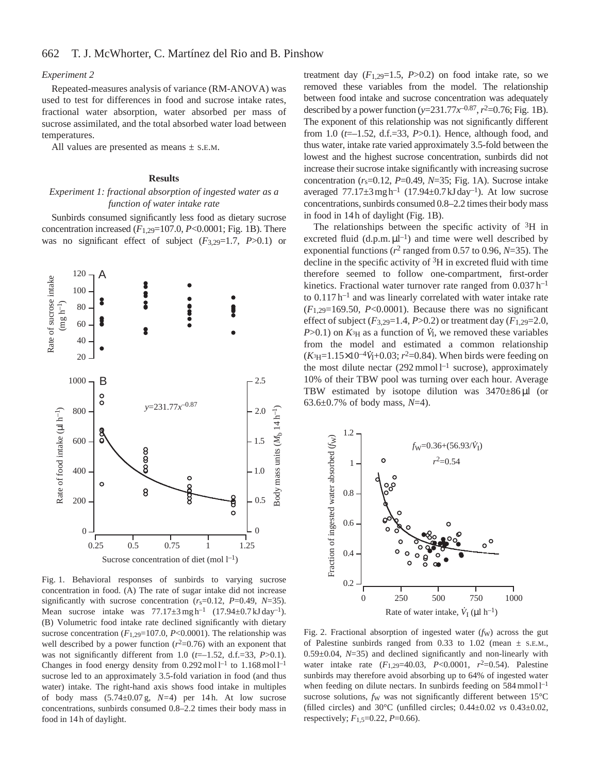### *Experiment 2*

Repeated-measures analysis of variance (RM-ANOVA) was used to test for differences in food and sucrose intake rates, fractional water absorption, water absorbed per mass of sucrose assimilated, and the total absorbed water load between temperatures.

All values are presented as means  $\pm$  S.E.M.

## **Results**

## *Experiment 1: fractional absorption of ingested water as a function of water intake rate*

Sunbirds consumed significantly less food as dietary sucrose concentration increased (*F*1,29=107.0, *P*<0.0001; Fig. 1B). There was no significant effect of subject (*F*3,29=1.7, *P*>0.1) or



Fig. 1. Behavioral responses of sunbirds to varying sucrose concentration in food. (A) The rate of sugar intake did not increase significantly with sucrose concentration (*r*s=0.12, *P*=0.49, *N*=35). Mean sucrose intake was  $77.17 \pm 3 \text{ mg h}^{-1}$   $(17.94 \pm 0.7 \text{ kJ day}^{-1})$ . (B) Volumetric food intake rate declined significantly with dietary sucrose concentration  $(F_{1,29}=107.0, P<0.0001)$ . The relationship was well described by a power function  $(r^2=0.76)$  with an exponent that was not significantly different from 1.0 (*t*=–1.52, d.f.=33, *P*>0.1). Changes in food energy density from  $0.292 \text{ mol } l^{-1}$  to  $1.168 \text{ mol } l^{-1}$ sucrose led to an approximately 3.5-fold variation in food (and thus water) intake. The right-hand axis shows food intake in multiples of body mass (5.74±0.07 g, *N=*4) per 14 h. At low sucrose concentrations, sunbirds consumed 0.8–2.2 times their body mass in food in 14 h of daylight.

treatment day  $(F_{1,29}=1.5, P>0.2)$  on food intake rate, so we removed these variables from the model. The relationship between food intake and sucrose concentration was adequately described by a power function ( $y=231.77x^{-0.87}$ ,  $r^2=0.76$ ; Fig. 1B). The exponent of this relationship was not significantly different from 1.0 (*t*=–1.52, d.f.=33, *P*>0.1). Hence, although food, and thus water, intake rate varied approximately 3.5-fold between the lowest and the highest sucrose concentration, sunbirds did not increase their sucrose intake significantly with increasing sucrose concentration  $(r_s=0.12, P=0.49, N=35; Fig. 1A)$ . Sucrose intake averaged  $77.17\pm3$  mg h<sup>-1</sup> (17.94 $\pm$ 0.7 kJ day<sup>-1</sup>). At low sucrose concentrations, sunbirds consumed 0.8–2.2 times their body mass in food in 14h of daylight (Fig. 1B).

The relationships between the specific activity of  ${}^{3}H$  in excreted fluid  $(d.p.m.  $\mu l^{-1}$ )$  and time were well described by exponential functions (*r*<sup>2</sup> ranged from 0.57 to 0.96, *N*=35). The decline in the specific activity of  ${}^{3}H$  in excreted fluid with time therefore seemed to follow one-compartment, first-order kinetics. Fractional water turnover rate ranged from  $0.037$  h<sup>-1</sup> to  $0.117 h^{-1}$  and was linearly correlated with water intake rate  $(F_{1,29}=169.50, P<0.0001)$ . Because there was no significant effect of subject  $(F_{3,29}=1.4, P>0.2)$  or treatment day  $(F_{1,29}=2.0,$  $P > 0.1$ ) on  $K_{\rm H}$  as a function of  $\dot{V}_{\rm I}$ , we removed these variables from the model and estimated a common relationship  $(K<sub>3H</sub>=1.15\times10^{-4}V<sub>I</sub>+0.03; r<sup>2</sup>=0.84)$ . When birds were feeding on the most dilute nectar  $(292 \text{ mmol }1^{-1}$  sucrose), approximately 10% of their TBW pool was turning over each hour. Average TBW estimated by isotope dilution was  $3470 \pm 86 \mu l$  (or 63.6±0.7% of body mass, *N*=4).



Fig. 2. Fractional absorption of ingested water (*fw*) across the gut of Palestine sunbirds ranged from 0.33 to 1.02 (mean  $\pm$  s.e.m., 0.59±0.04, *N*=35) and declined significantly and non-linearly with water intake rate  $(F_{1,29}=40.03, P<0.0001, r<sup>2</sup>=0.54)$ . Palestine sunbirds may therefore avoid absorbing up to 64% of ingested water when feeding on dilute nectars. In sunbirds feeding on 584 mmol  $l^{-1}$ sucrose solutions, *fw* was not significantly different between 15°C (filled circles) and  $30^{\circ}$ C (unfilled circles;  $0.44 \pm 0.02$  *vs*  $0.43 \pm 0.02$ , respectively; *F*1,5=0.22, *P*=0.66).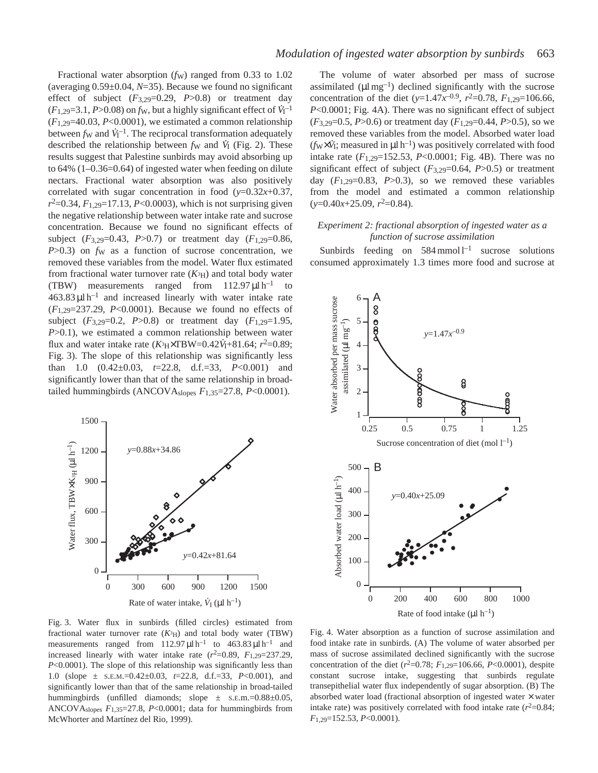Fractional water absorption (*fw*) ranged from 0.33 to 1.02 (averaging 0.59±0.04, *N*=35). Because we found no significant effect of subject  $(F_{3,29}=0.29, P>0.8)$  or treatment day  $(F_{1,29}=3.1, P>0.08)$  on  $f_{\rm W}$ , but a highly significant effect of  $\dot{V}_{\rm I}^{-1}$  $(F_{1,29}=40.03, P<0.0001)$ , we estimated a common relationship between  $f_W$  and  $\dot{V}_1^{-1}$ . The reciprocal transformation adequately described the relationship between  $f_{\rm W}$  and  $\dot{V}_{\rm I}$  (Fig. 2). These results suggest that Palestine sunbirds may avoid absorbing up to 64% (1–0.36=0.64) of ingested water when feeding on dilute nectars. Fractional water absorption was also positively correlated with sugar concentration in food  $(y=0.32x+0.37)$ , *r*2=0.34, *F*1,29=17.13, *P*<0.0003), which is not surprising given the negative relationship between water intake rate and sucrose concentration. Because we found no significant effects of subject  $(F_{3,29}=0.43, P>0.7)$  or treatment day  $(F_{1,29}=0.86,$ *P*>0.3) on *fw* as a function of sucrose concentration, we removed these variables from the model. Water flux estimated from fractional water turnover rate  $(K<sup>3</sup>H)$  and total body water (TBW) measurements ranged from  $112.97 \mu l \, h^{-1}$  to  $463.83 \mu l \, h^{-1}$  and increased linearly with water intake rate (*F*1,29=237.29, *P*<0.0001). Because we found no effects of subject  $(F_{3,29}=0.2, P>0.8)$  or treatment day  $(F_{1,29}=1.95,$  $P > 0.1$ ), we estimated a common relationship between water flux and water intake rate  $(K_{\rm H} \times TBW = 0.42V_{\rm H} + 81.64; r^2 = 0.89;$ Fig. 3). The slope of this relationship was significantly less than 1.0 (0.42±0.03, *t*=22.8, d.f.=33, *P*<0.001) and significantly lower than that of the same relationship in broadtailed hummingbirds (ANCOVAslopes *F*1,35=27.8, *P*<0.0001).



Fig. 3. Water flux in sunbirds (filled circles) estimated from fractional water turnover rate  $(K<sup>3</sup>H)$  and total body water (TBW) measurements ranged from  $112.97 \mu l \, h^{-1}$  to  $463.83 \mu l \, h^{-1}$  and increased linearly with water intake rate  $(r^2=0.89, F_{1,29}=237.29,$ *P*<0.0001). The slope of this relationship was significantly less than 1.0 (slope ± S.E.M.=0.42±0.03, *t*=22.8, d.f.=33, *P*<0.001), and significantly lower than that of the same relationship in broad-tailed hummingbirds (unfilled diamonds; slope ± S.E.m.=0.88±0.05, ANCOVAslopes *F*1,35=27.8, *P*<0.0001; data for hummingbirds from McWhorter and Martínez del Rio, 1999).

The volume of water absorbed per mass of sucrose assimilated ( $\mu$ l mg<sup>-1</sup>) declined significantly with the sucrose concentration of the diet ( $y=1.47x^{-0.9}$ ,  $r^2=0.78$ ,  $F_{1,29}=106.66$ , *P*<0.0001; Fig. 4A). There was no significant effect of subject (*F*3,29=0.5, *P*>0.6) or treatment day (*F*1,29=0.44, *P*>0.5), so we removed these variables from the model. Absorbed water load  $(f_W \times V_I)$ ; measured in  $\mu l h^{-1}$ ) was positively correlated with food intake rate  $(F_{1,29}=152.53, P<0.0001; Fig. 4B)$ . There was no significant effect of subject  $(F_{3,29}=0.64, P>0.5)$  or treatment day  $(F_{1,29}=0.83, P>0.3)$ , so we removed these variables from the model and estimated a common relationship (*y*=0.40*x*+25.09, *r*2=0.84).

## *Experiment 2: fractional absorption of ingested water as a function of sucrose assimilation*

Sunbirds feeding on  $584 \text{ mmol } l^{-1}$  sucrose solutions consumed approximately 1.3 times more food and sucrose at



Fig. 4. Water absorption as a function of sucrose assimilation and food intake rate in sunbirds. (A) The volume of water absorbed per mass of sucrose assimilated declined significantly with the sucrose concentration of the diet  $(r^2=0.78; F_{1,29}=106.66, P<0.0001)$ , despite constant sucrose intake, suggesting that sunbirds regulate transepithelial water flux independently of sugar absorption. (B) The absorbed water load (fractional absorption of ingested water × water intake rate) was positively correlated with food intake rate  $(r^2=0.84;$ *F*1,29=152.53, *P*<0.0001).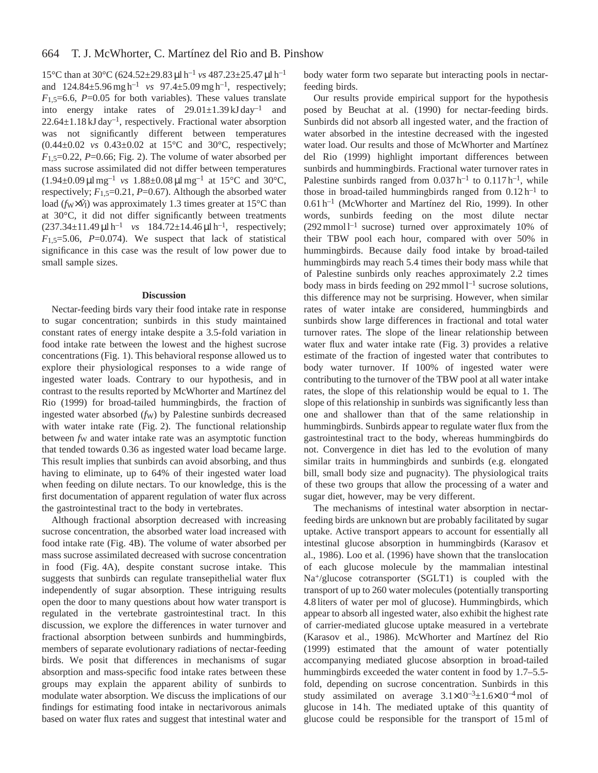15°C than at 30°C (624.52±29.83 µl h–1 *vs* 487.23±25.47 µl h–1 and  $124.84 \pm 5.96$  mg h<sup>-1</sup> *vs*  $97.4 \pm 5.09$  mg h<sup>-1</sup>, respectively;  $F_{1,5}=6.6$ ,  $P=0.05$  for both variables). These values translate into energy intake rates of  $29.01 \pm 1.39 \text{ kJ day}^{-1}$  and  $22.64 \pm 1.18$  kJ day<sup>-1</sup>, respectively. Fractional water absorption was not significantly different between temperatures (0.44±0.02 *vs* 0.43±0.02 at 15°C and 30°C, respectively;  $F_{1,5}=0.22$ ,  $P=0.66$ ; Fig. 2). The volume of water absorbed per mass sucrose assimilated did not differ between temperatures  $(1.94\pm0.09 \,\mu\text{m} \text{g}^{-1}$  *vs*  $1.88\pm0.08 \,\mu\text{m} \text{g}^{-1}$  at  $15^{\circ}\text{C}$  and  $30^{\circ}\text{C}$ , respectively;  $F_{1,5}=0.21$ ,  $P=0.67$ ). Although the absorbed water load ( $f_W \times V_I$ ) was approximately 1.3 times greater at 15°C than at 30°C, it did not differ significantly between treatments  $(237.34 \pm 11.49 \,\mu\text{J} \cdot \text{h}^{-1}$  *vs*  $184.72 \pm 14.46 \,\mu\text{J} \cdot \text{h}^{-1}$ , respectively;  $F_{1,5}=5.06$ ,  $P=0.074$ ). We suspect that lack of statistical significance in this case was the result of low power due to small sample sizes.

#### **Discussion**

Nectar-feeding birds vary their food intake rate in response to sugar concentration; sunbirds in this study maintained constant rates of energy intake despite a 3.5-fold variation in food intake rate between the lowest and the highest sucrose concentrations (Fig. 1). This behavioral response allowed us to explore their physiological responses to a wide range of ingested water loads. Contrary to our hypothesis, and in contrast to the results reported by McWhorter and Martínez del Rio (1999) for broad-tailed hummingbirds, the fraction of ingested water absorbed (*f<sub>W</sub>*) by Palestine sunbirds decreased with water intake rate (Fig. 2). The functional relationship between *fw* and water intake rate was an asymptotic function that tended towards 0.36 as ingested water load became large. This result implies that sunbirds can avoid absorbing, and thus having to eliminate, up to 64% of their ingested water load when feeding on dilute nectars. To our knowledge, this is the first documentation of apparent regulation of water flux across the gastrointestinal tract to the body in vertebrates.

Although fractional absorption decreased with increasing sucrose concentration, the absorbed water load increased with food intake rate (Fig. 4B). The volume of water absorbed per mass sucrose assimilated decreased with sucrose concentration in food (Fig. 4A), despite constant sucrose intake. This suggests that sunbirds can regulate transepithelial water flux independently of sugar absorption. These intriguing results open the door to many questions about how water transport is regulated in the vertebrate gastrointestinal tract. In this discussion, we explore the differences in water turnover and fractional absorption between sunbirds and hummingbirds, members of separate evolutionary radiations of nectar-feeding birds. We posit that differences in mechanisms of sugar absorption and mass-specific food intake rates between these groups may explain the apparent ability of sunbirds to modulate water absorption. We discuss the implications of our findings for estimating food intake in nectarivorous animals based on water flux rates and suggest that intestinal water and body water form two separate but interacting pools in nectarfeeding birds.

Our results provide empirical support for the hypothesis posed by Beuchat at al. (1990) for nectar-feeding birds. Sunbirds did not absorb all ingested water, and the fraction of water absorbed in the intestine decreased with the ingested water load. Our results and those of McWhorter and Martínez del Rio (1999) highlight important differences between sunbirds and hummingbirds. Fractional water turnover rates in Palestine sunbirds ranged from  $0.037 \, h^{-1}$  to  $0.117 \, h^{-1}$ , while those in broad-tailed hummingbirds ranged from  $0.12 h^{-1}$  to 0.61 h–1 (McWhorter and Martínez del Rio, 1999). In other words, sunbirds feeding on the most dilute nectar  $(292 \text{ mmol }1^{-1}$  sucrose) turned over approximately 10% of their TBW pool each hour, compared with over 50% in hummingbirds. Because daily food intake by broad-tailed hummingbirds may reach 5.4 times their body mass while that of Palestine sunbirds only reaches approximately 2.2 times body mass in birds feeding on  $292 \text{ mmol } 1^{-1}$  sucrose solutions, this difference may not be surprising. However, when similar rates of water intake are considered, hummingbirds and sunbirds show large differences in fractional and total water turnover rates. The slope of the linear relationship between water flux and water intake rate (Fig. 3) provides a relative estimate of the fraction of ingested water that contributes to body water turnover. If 100% of ingested water were contributing to the turnover of the TBW pool at all water intake rates, the slope of this relationship would be equal to 1. The slope of this relationship in sunbirds was significantly less than one and shallower than that of the same relationship in hummingbirds. Sunbirds appear to regulate water flux from the gastrointestinal tract to the body, whereas hummingbirds do not. Convergence in diet has led to the evolution of many similar traits in hummingbirds and sunbirds (e.g. elongated bill, small body size and pugnacity). The physiological traits of these two groups that allow the processing of a water and sugar diet, however, may be very different.

The mechanisms of intestinal water absorption in nectarfeeding birds are unknown but are probably facilitated by sugar uptake. Active transport appears to account for essentially all intestinal glucose absorption in hummingbirds (Karasov et al., 1986). Loo et al. (1996) have shown that the translocation of each glucose molecule by the mammalian intestinal Na+/glucose cotransporter (SGLT1) is coupled with the transport of up to 260 water molecules (potentially transporting 4.8 liters of water per mol of glucose). Hummingbirds, which appear to absorb all ingested water, also exhibit the highest rate of carrier-mediated glucose uptake measured in a vertebrate (Karasov et al., 1986). McWhorter and Martínez del Rio (1999) estimated that the amount of water potentially accompanying mediated glucose absorption in broad-tailed hummingbirds exceeded the water content in food by 1.7–5.5 fold, depending on sucrose concentration. Sunbirds in this study assimilated on average  $3.1 \times 10^{-3} \pm 1.6 \times 10^{-4}$  mol of glucose in 14 h. The mediated uptake of this quantity of glucose could be responsible for the transport of 15 ml of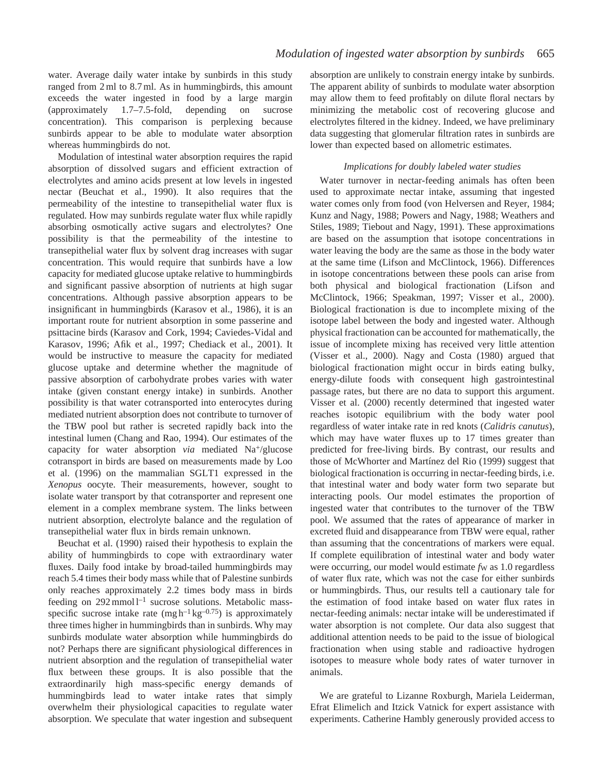water. Average daily water intake by sunbirds in this study ranged from 2 ml to 8.7 ml. As in hummingbirds, this amount exceeds the water ingested in food by a large margin (approximately 1.7–7.5-fold, depending on sucrose concentration). This comparison is perplexing because sunbirds appear to be able to modulate water absorption whereas hummingbirds do not.

Modulation of intestinal water absorption requires the rapid absorption of dissolved sugars and efficient extraction of electrolytes and amino acids present at low levels in ingested nectar (Beuchat et al., 1990). It also requires that the permeability of the intestine to transepithelial water flux is regulated. How may sunbirds regulate water flux while rapidly absorbing osmotically active sugars and electrolytes? One possibility is that the permeability of the intestine to transepithelial water flux by solvent drag increases with sugar concentration. This would require that sunbirds have a low capacity for mediated glucose uptake relative to hummingbirds and significant passive absorption of nutrients at high sugar concentrations. Although passive absorption appears to be insignificant in hummingbirds (Karasov et al., 1986), it is an important route for nutrient absorption in some passerine and psittacine birds (Karasov and Cork, 1994; Caviedes-Vidal and Karasov, 1996; Afik et al., 1997; Chediack et al., 2001). It would be instructive to measure the capacity for mediated glucose uptake and determine whether the magnitude of passive absorption of carbohydrate probes varies with water intake (given constant energy intake) in sunbirds. Another possibility is that water cotransported into enterocytes during mediated nutrient absorption does not contribute to turnover of the TBW pool but rather is secreted rapidly back into the intestinal lumen (Chang and Rao, 1994). Our estimates of the capacity for water absorption *via* mediated Na<sup>+</sup>/glucose cotransport in birds are based on measurements made by Loo et al. (1996) on the mammalian SGLT1 expressed in the *Xenopus* oocyte. Their measurements, however, sought to isolate water transport by that cotransporter and represent one element in a complex membrane system. The links between nutrient absorption, electrolyte balance and the regulation of transepithelial water flux in birds remain unknown.

Beuchat et al. (1990) raised their hypothesis to explain the ability of hummingbirds to cope with extraordinary water fluxes. Daily food intake by broad-tailed hummingbirds may reach 5.4 times their body mass while that of Palestine sunbirds only reaches approximately 2.2 times body mass in birds feeding on  $292 \text{ mmol } l^{-1}$  sucrose solutions. Metabolic massspecific sucrose intake rate  $(mgh^{-1}kg^{-0.75})$  is approximately three times higher in hummingbirds than in sunbirds. Why may sunbirds modulate water absorption while hummingbirds do not? Perhaps there are significant physiological differences in nutrient absorption and the regulation of transepithelial water flux between these groups. It is also possible that the extraordinarily high mass-specific energy demands of hummingbirds lead to water intake rates that simply overwhelm their physiological capacities to regulate water absorption. We speculate that water ingestion and subsequent

absorption are unlikely to constrain energy intake by sunbirds. The apparent ability of sunbirds to modulate water absorption may allow them to feed profitably on dilute floral nectars by minimizing the metabolic cost of recovering glucose and electrolytes filtered in the kidney. Indeed, we have preliminary data suggesting that glomerular filtration rates in sunbirds are lower than expected based on allometric estimates.

## *Implications for doubly labeled water studies*

Water turnover in nectar-feeding animals has often been used to approximate nectar intake, assuming that ingested water comes only from food (von Helversen and Reyer, 1984; Kunz and Nagy, 1988; Powers and Nagy, 1988; Weathers and Stiles, 1989; Tiebout and Nagy, 1991). These approximations are based on the assumption that isotope concentrations in water leaving the body are the same as those in the body water at the same time (Lifson and McClintock, 1966). Differences in isotope concentrations between these pools can arise from both physical and biological fractionation (Lifson and McClintock, 1966; Speakman, 1997; Visser et al., 2000). Biological fractionation is due to incomplete mixing of the isotope label between the body and ingested water. Although physical fractionation can be accounted for mathematically, the issue of incomplete mixing has received very little attention (Visser et al., 2000). Nagy and Costa (1980) argued that biological fractionation might occur in birds eating bulky, energy-dilute foods with consequent high gastrointestinal passage rates, but there are no data to support this argument. Visser et al. (2000) recently determined that ingested water reaches isotopic equilibrium with the body water pool regardless of water intake rate in red knots (*Calidris canutus*), which may have water fluxes up to 17 times greater than predicted for free-living birds. By contrast, our results and those of McWhorter and Martínez del Rio (1999) suggest that biological fractionation is occurring in nectar-feeding birds, i.e. that intestinal water and body water form two separate but interacting pools. Our model estimates the proportion of ingested water that contributes to the turnover of the TBW pool. We assumed that the rates of appearance of marker in excreted fluid and disappearance from TBW were equal, rather than assuming that the concentrations of markers were equal. If complete equilibration of intestinal water and body water were occurring, our model would estimate *fw* as 1.0 regardless of water flux rate, which was not the case for either sunbirds or hummingbirds. Thus, our results tell a cautionary tale for the estimation of food intake based on water flux rates in nectar-feeding animals: nectar intake will be underestimated if water absorption is not complete. Our data also suggest that additional attention needs to be paid to the issue of biological fractionation when using stable and radioactive hydrogen isotopes to measure whole body rates of water turnover in animals.

We are grateful to Lizanne Roxburgh, Mariela Leiderman, Efrat Elimelich and Itzick Vatnick for expert assistance with experiments. Catherine Hambly generously provided access to